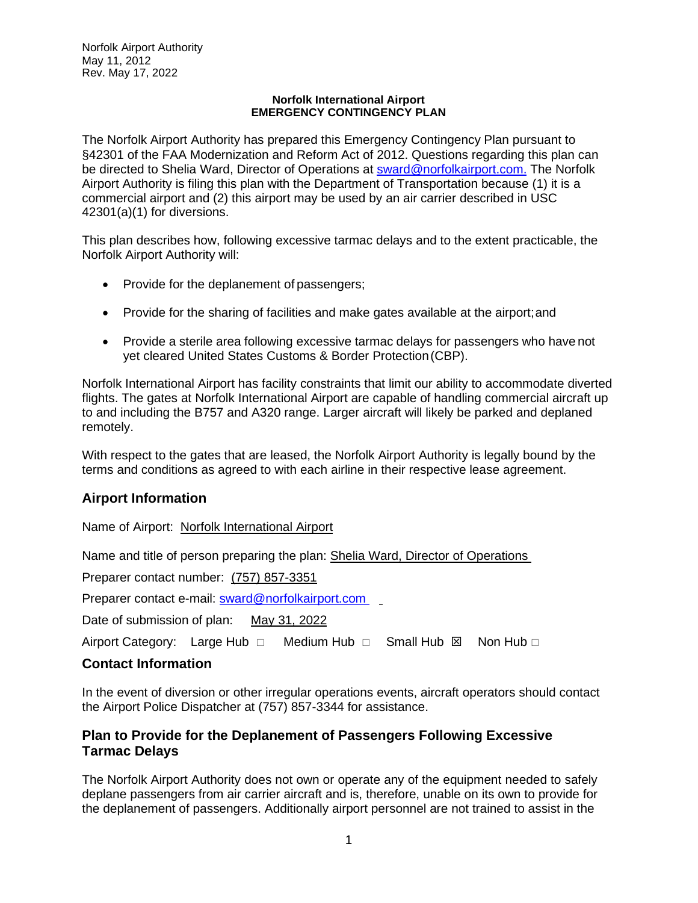#### **Norfolk International Airport EMERGENCY CONTINGENCY PLAN**

The Norfolk Airport Authority has prepared this Emergency Contingency Plan pursuant to §42301 of the FAA Modernization and Reform Act of 2012. Questions regarding this plan can be directed to Shelia Ward, Director of Operations at **sward@norfolkairport.com.** The Norfolk Airport Authority is filing this plan with the Department of Transportation because (1) it is a commercial airport and (2) this airport may be used by an air carrier described in USC 42301(a)(1) for diversions.

This plan describes how, following excessive tarmac delays and to the extent practicable, the Norfolk Airport Authority will:

- Provide for the deplanement of passengers;
- Provide for the sharing of facilities and make gates available at the airport;and
- Provide a sterile area following excessive tarmac delays for passengers who have not yet cleared United States Customs & Border Protection(CBP).

Norfolk International Airport has facility constraints that limit our ability to accommodate diverted flights. The gates at Norfolk International Airport are capable of handling commercial aircraft up to and including the B757 and A320 range. Larger aircraft will likely be parked and deplaned remotely.

With respect to the gates that are leased, the Norfolk Airport Authority is legally bound by the terms and conditions as agreed to with each airline in their respective lease agreement.

# **Airport Information**

Name of Airport: Norfolk International Airport

Name and title of person preparing the plan: Shelia Ward, Director of Operations

Preparer contact number: (757) 857-3351

Preparer contact e-mail: [sward@norfolkairport.com](mailto:sward@norfolkairport.com)

Date of submission of plan: May 31, 2022

Airport Category: Large Hub  $\Box$  Medium Hub  $\Box$  Small Hub  $\boxtimes$  Non Hub  $\Box$ 

## **Contact Information**

In the event of diversion or other irregular operations events, aircraft operators should contact the Airport Police Dispatcher at (757) 857-3344 for assistance.

## **Plan to Provide for the Deplanement of Passengers Following Excessive Tarmac Delays**

The Norfolk Airport Authority does not own or operate any of the equipment needed to safely deplane passengers from air carrier aircraft and is, therefore, unable on its own to provide for the deplanement of passengers. Additionally airport personnel are not trained to assist in the